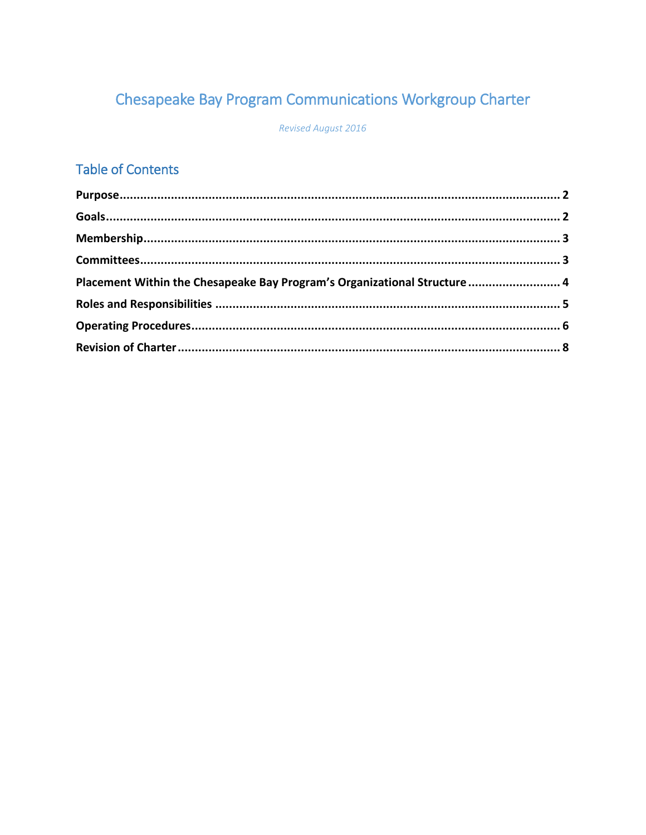# Chesapeake Bay Program Communications Workgroup Charter

Revised August 2016

## **Table of Contents**

| Placement Within the Chesapeake Bay Program's Organizational Structure  4 |  |
|---------------------------------------------------------------------------|--|
|                                                                           |  |
|                                                                           |  |
|                                                                           |  |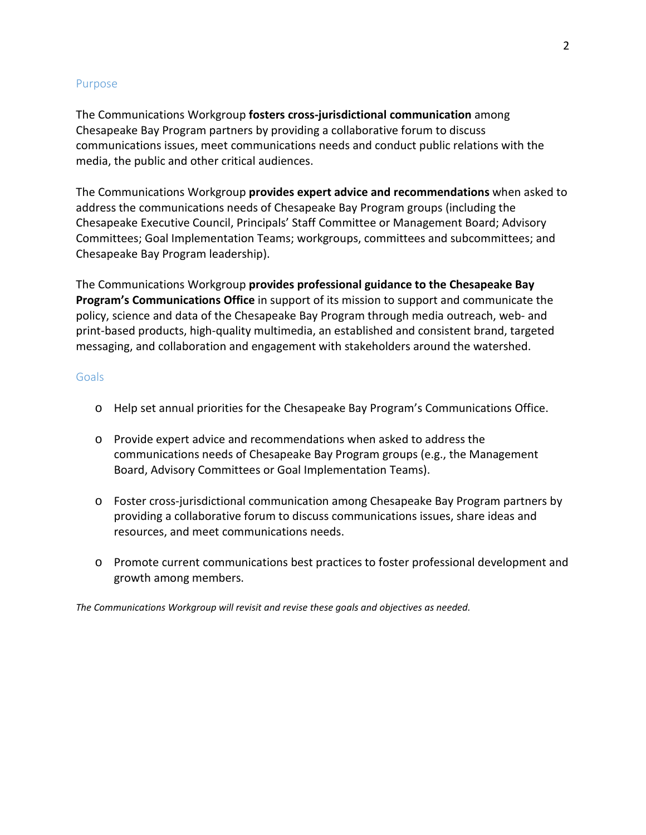### Purpose

The Communications Workgroup **fosters cross-jurisdictional communication** among Chesapeake Bay Program partners by providing a collaborative forum to discuss communications issues, meet communications needs and conduct public relations with the media, the public and other critical audiences.

The Communications Workgroup **provides expert advice and recommendations** when asked to address the communications needs of Chesapeake Bay Program groups (including the Chesapeake Executive Council, Principals' Staff Committee or Management Board; Advisory Committees; Goal Implementation Teams; workgroups, committees and subcommittees; and Chesapeake Bay Program leadership).

The Communications Workgroup **provides professional guidance to the Chesapeake Bay Program's Communications Office** in support of its mission to support and communicate the policy, science and data of the Chesapeake Bay Program through media outreach, web- and print-based products, high-quality multimedia, an established and consistent brand, targeted messaging, and collaboration and engagement with stakeholders around the watershed.

### **Goals**

- o Help set annual priorities for the Chesapeake Bay Program's Communications Office.
- o Provide expert advice and recommendations when asked to address the communications needs of Chesapeake Bay Program groups (e.g., the Management Board, Advisory Committees or Goal Implementation Teams).
- o Foster cross-jurisdictional communication among Chesapeake Bay Program partners by providing a collaborative forum to discuss communications issues, share ideas and resources, and meet communications needs.
- o Promote current communications best practices to foster professional development and growth among members.

*The Communications Workgroup will revisit and revise these goals and objectives as needed.*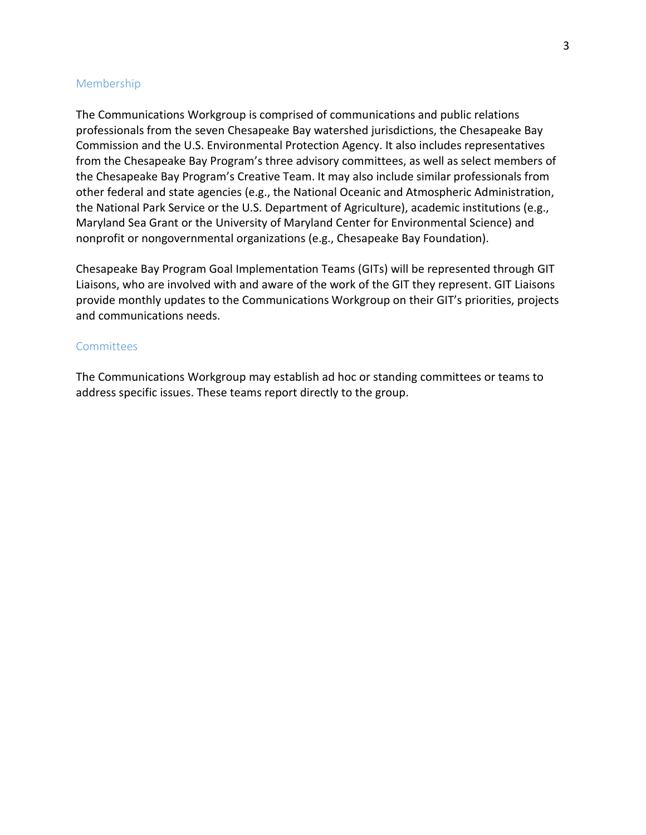#### Membership

The Communications Workgroup is comprised of communications and public relations professionals from the seven Chesapeake Bay watershed jurisdictions, the Chesapeake Bay Commission and the U.S. Environmental Protection Agency. It also includes representatives from the Chesapeake Bay Program's three advisory committees, as well as select members of the Chesapeake Bay Program's Creative Team. It may also include similar professionals from other federal and state agencies (e.g., the National Oceanic and Atmospheric Administration, the National Park Service or the U.S. Department of Agriculture), academic institutions (e.g., Maryland Sea Grant or the University of Maryland Center for Environmental Science) and nonprofit or nongovernmental organizations (e.g., Chesapeake Bay Foundation).

Chesapeake Bay Program Goal Implementation Teams (GITs) will be represented through GIT Liaisons, who are involved with and aware of the work of the GIT they represent. GIT Liaisons provide monthly updates to the Communications Workgroup on their GIT's priorities, projects and communications needs.

#### **Committees**

The Communications Workgroup may establish ad hoc or standing committees or teams to address specific issues. These teams report directly to the group.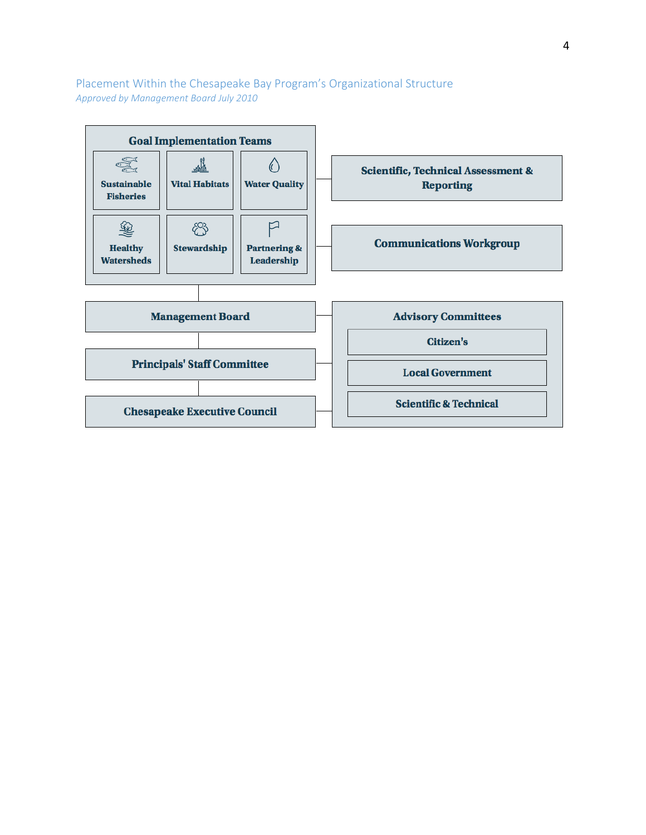Placement Within the Chesapeake Bay Program's Organizational Structure *Approved by Management Board July 2010* 

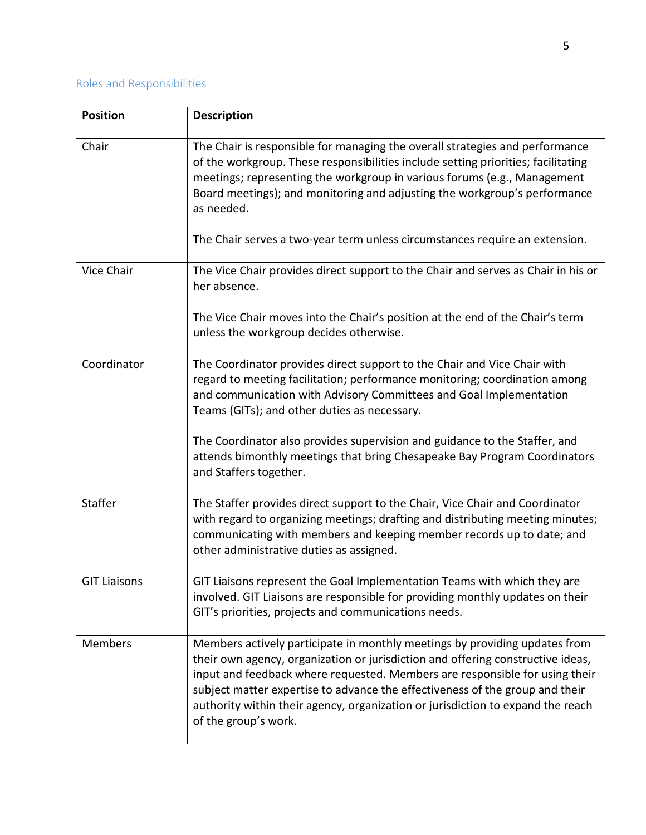### Roles and Responsibilities

| <b>Position</b>     | <b>Description</b>                                                                                                                                                                                                                                                                                                                                                                                                                      |
|---------------------|-----------------------------------------------------------------------------------------------------------------------------------------------------------------------------------------------------------------------------------------------------------------------------------------------------------------------------------------------------------------------------------------------------------------------------------------|
| Chair               | The Chair is responsible for managing the overall strategies and performance<br>of the workgroup. These responsibilities include setting priorities; facilitating<br>meetings; representing the workgroup in various forums (e.g., Management<br>Board meetings); and monitoring and adjusting the workgroup's performance<br>as needed.<br>The Chair serves a two-year term unless circumstances require an extension.                 |
|                     |                                                                                                                                                                                                                                                                                                                                                                                                                                         |
| Vice Chair          | The Vice Chair provides direct support to the Chair and serves as Chair in his or<br>her absence.                                                                                                                                                                                                                                                                                                                                       |
|                     | The Vice Chair moves into the Chair's position at the end of the Chair's term<br>unless the workgroup decides otherwise.                                                                                                                                                                                                                                                                                                                |
| Coordinator         | The Coordinator provides direct support to the Chair and Vice Chair with<br>regard to meeting facilitation; performance monitoring; coordination among<br>and communication with Advisory Committees and Goal Implementation<br>Teams (GITs); and other duties as necessary.                                                                                                                                                            |
|                     | The Coordinator also provides supervision and guidance to the Staffer, and<br>attends bimonthly meetings that bring Chesapeake Bay Program Coordinators<br>and Staffers together.                                                                                                                                                                                                                                                       |
| Staffer             | The Staffer provides direct support to the Chair, Vice Chair and Coordinator<br>with regard to organizing meetings; drafting and distributing meeting minutes;<br>communicating with members and keeping member records up to date; and<br>other administrative duties as assigned.                                                                                                                                                     |
| <b>GIT Liaisons</b> | GIT Liaisons represent the Goal Implementation Teams with which they are<br>involved. GIT Liaisons are responsible for providing monthly updates on their<br>GIT's priorities, projects and communications needs.                                                                                                                                                                                                                       |
| <b>Members</b>      | Members actively participate in monthly meetings by providing updates from<br>their own agency, organization or jurisdiction and offering constructive ideas,<br>input and feedback where requested. Members are responsible for using their<br>subject matter expertise to advance the effectiveness of the group and their<br>authority within their agency, organization or jurisdiction to expand the reach<br>of the group's work. |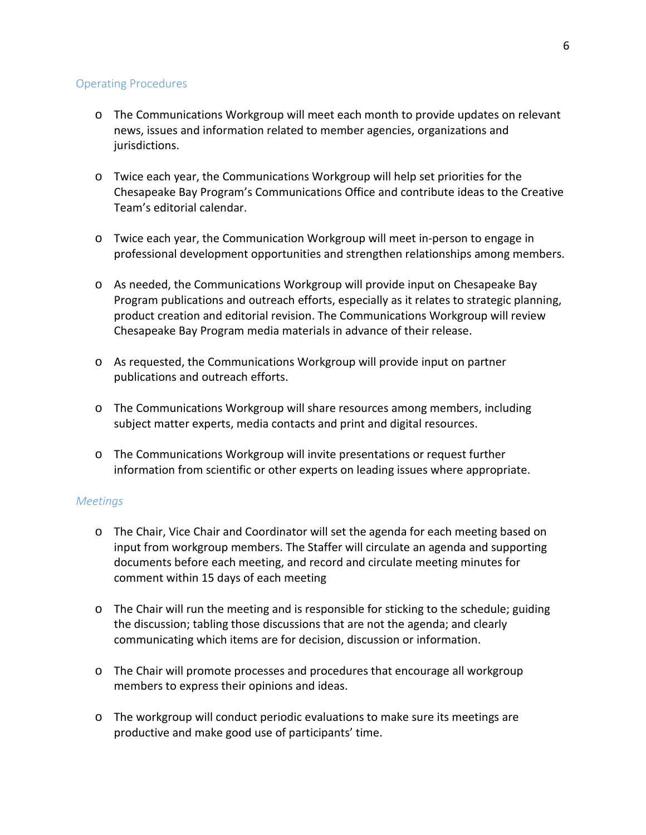### Operating Procedures

- o The Communications Workgroup will meet each month to provide updates on relevant news, issues and information related to member agencies, organizations and jurisdictions.
- o Twice each year, the Communications Workgroup will help set priorities for the Chesapeake Bay Program's Communications Office and contribute ideas to the Creative Team's editorial calendar.
- o Twice each year, the Communication Workgroup will meet in-person to engage in professional development opportunities and strengthen relationships among members.
- o As needed, the Communications Workgroup will provide input on Chesapeake Bay Program publications and outreach efforts, especially as it relates to strategic planning, product creation and editorial revision. The Communications Workgroup will review Chesapeake Bay Program media materials in advance of their release.
- o As requested, the Communications Workgroup will provide input on partner publications and outreach efforts.
- o The Communications Workgroup will share resources among members, including subject matter experts, media contacts and print and digital resources.
- o The Communications Workgroup will invite presentations or request further information from scientific or other experts on leading issues where appropriate.

### *Meetings*

- o The Chair, Vice Chair and Coordinator will set the agenda for each meeting based on input from workgroup members. The Staffer will circulate an agenda and supporting documents before each meeting, and record and circulate meeting minutes for comment within 15 days of each meeting
- o The Chair will run the meeting and is responsible for sticking to the schedule; guiding the discussion; tabling those discussions that are not the agenda; and clearly communicating which items are for decision, discussion or information.
- o The Chair will promote processes and procedures that encourage all workgroup members to express their opinions and ideas.
- o The workgroup will conduct periodic evaluations to make sure its meetings are productive and make good use of participants' time.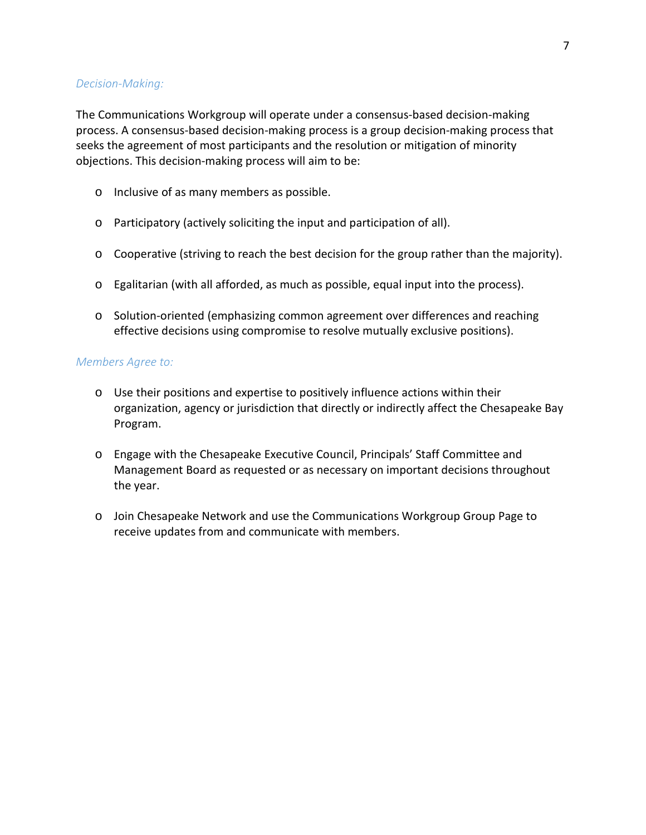### *Decision-Making:*

The Communications Workgroup will operate under a consensus-based decision-making process. A consensus-based decision-making process is a group decision-making process that seeks the agreement of most participants and the resolution or mitigation of minority objections. This decision-making process will aim to be:

- o Inclusive of as many members as possible.
- o Participatory (actively soliciting the input and participation of all).
- o Cooperative (striving to reach the best decision for the group rather than the majority).
- o Egalitarian (with all afforded, as much as possible, equal input into the process).
- o Solution-oriented (emphasizing common agreement over differences and reaching effective decisions using compromise to resolve mutually exclusive positions).

### *Members Agree to:*

- o Use their positions and expertise to positively influence actions within their organization, agency or jurisdiction that directly or indirectly affect the Chesapeake Bay Program.
- o Engage with the Chesapeake Executive Council, Principals' Staff Committee and Management Board as requested or as necessary on important decisions throughout the year.
- o Join Chesapeake Network and use the Communications Workgroup Group Page to receive updates from and communicate with members.